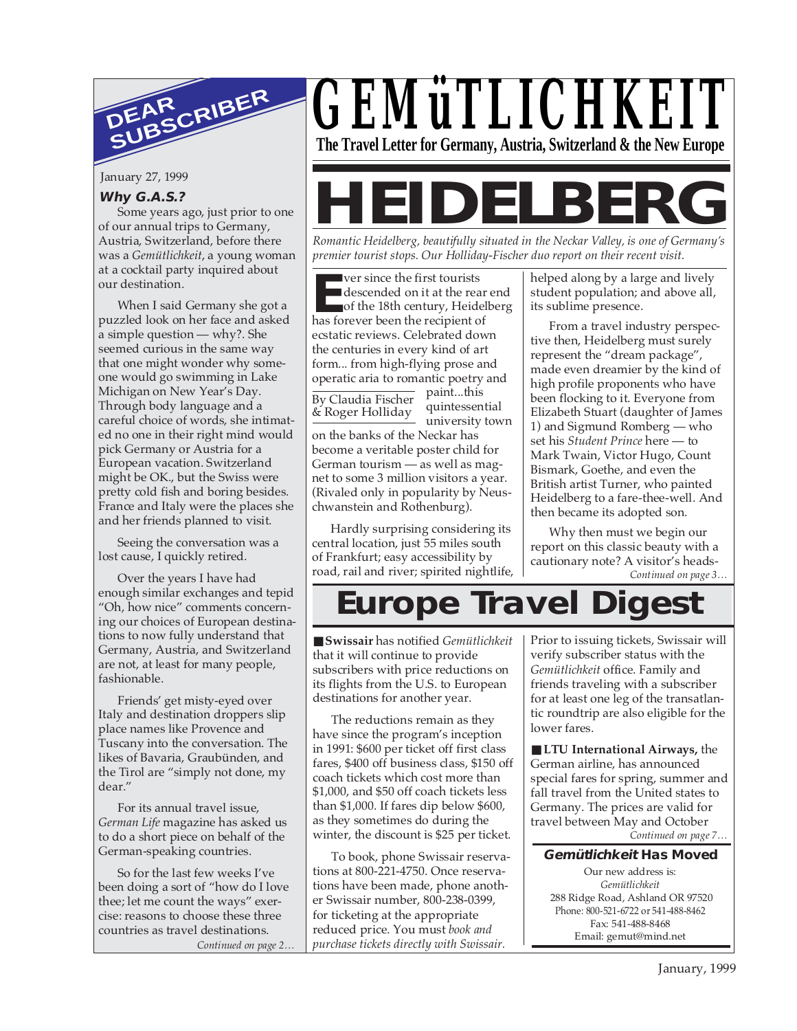

January 27, 1999

#### **Why G.A.S.?**

Some years ago, just prior to one of our annual trips to Germany, Austria, Switzerland, before there was a *Gemütlichkeit*, a young woman at a cocktail party inquired about our destination.

When I said Germany she got a puzzled look on her face and asked a simple question — why?. She seemed curious in the same way that one might wonder why someone would go swimming in Lake Michigan on New Year's Day. Through body language and a careful choice of words, she intimated no one in their right mind would pick Germany or Austria for a European vacation. Switzerland might be OK., but the Swiss were pretty cold fish and boring besides. France and Italy were the places she and her friends planned to visit.

Seeing the conversation was a lost cause, I quickly retired.

Over the years I have had enough similar exchanges and tepid "Oh, how nice" comments concerning our choices of European destinations to now fully understand that Germany, Austria, and Switzerland are not, at least for many people, fashionable.

Friends' get misty-eyed over Italy and destination droppers slip place names like Provence and Tuscany into the conversation. The likes of Bavaria, Graubünden, and the Tirol are "simply not done, my dear."

For its annual travel issue, *German Life* magazine has asked us to do a short piece on behalf of the German-speaking countries.

*Continued on page 2…* So for the last few weeks I've been doing a sort of "how do I love thee; let me count the ways" exercise: reasons to choose these three countries as travel destinations.



# **IDELBER**

*Romantic Heidelberg, beautifully situated in the Neckar Valley, is one of Germany's premier tourist stops. Our Holliday-Fischer duo report on their recent visit.*

**EXECUTE:** The first tourists<br>descended on it at the rear<br>of the 18th century, Heide<br>has forever been the recipient of ver since the first tourists descended on it at the rear end of the 18th century, Heidelberg ecstatic reviews. Celebrated down the centuries in every kind of art form... from high-flying prose and operatic aria to romantic poetry and

By Claudia Fischer & Roger Holliday

paint...this quintessential university town

on the banks of the Neckar has become a veritable poster child for German tourism — as well as magnet to some 3 million visitors a year. (Rivaled only in popularity by Neuschwanstein and Rothenburg).

Hardly surprising considering its central location, just 55 miles south of Frankfurt; easy accessibility by road, rail and river; spirited nightlife, helped along by a large and lively student population; and above all, its sublime presence.

From a travel industry perspective then, Heidelberg must surely represent the "dream package", made even dreamier by the kind of high profile proponents who have been flocking to it. Everyone from Elizabeth Stuart (daughter of James 1) and Sigmund Romberg — who set his *Student Prince* here — to Mark Twain, Victor Hugo, Count Bismark, Goethe, and even the British artist Turner, who painted Heidelberg to a fare-thee-well. And then became its adopted son.

*Continued on page 3…* Why then must we begin our report on this classic beauty with a cautionary note? A visitor's heads-

## **Europe Travel Digest**

■ **Swissair** has notified *Gemütlichkeit* that it will continue to provide subscribers with price reductions on its flights from the U.S. to European destinations for another year.

The reductions remain as they have since the program's inception in 1991: \$600 per ticket off first class fares, \$400 off business class, \$150 off coach tickets which cost more than \$1,000, and \$50 off coach tickets less than \$1,000. If fares dip below \$600, as they sometimes do during the winter, the discount is \$25 per ticket.

To book, phone Swissair reservations at 800-221-4750. Once reservations have been made, phone another Swissair number, 800-238-0399, for ticketing at the appropriate reduced price. You must *book and purchase tickets directly with Swissair.*

Prior to issuing tickets, Swissair will verify subscriber status with the *Gemütlichkeit* office. Family and friends traveling with a subscriber for at least one leg of the transatlantic roundtrip are also eligible for the lower fares.

*Continued on page 7…* ■ **LTU International Airways, the** German airline, has announced special fares for spring, summer and fall travel from the United states to Germany. The prices are valid for travel between May and October

#### **Gemütlichkeit Has Moved**

Our new address is: *Gemütlichkeit* 288 Ridge Road, Ashland OR 97520 Phone: 800-521-6722 or 541-488-8462 Fax: 541-488-8468 Email: gemut@mind.net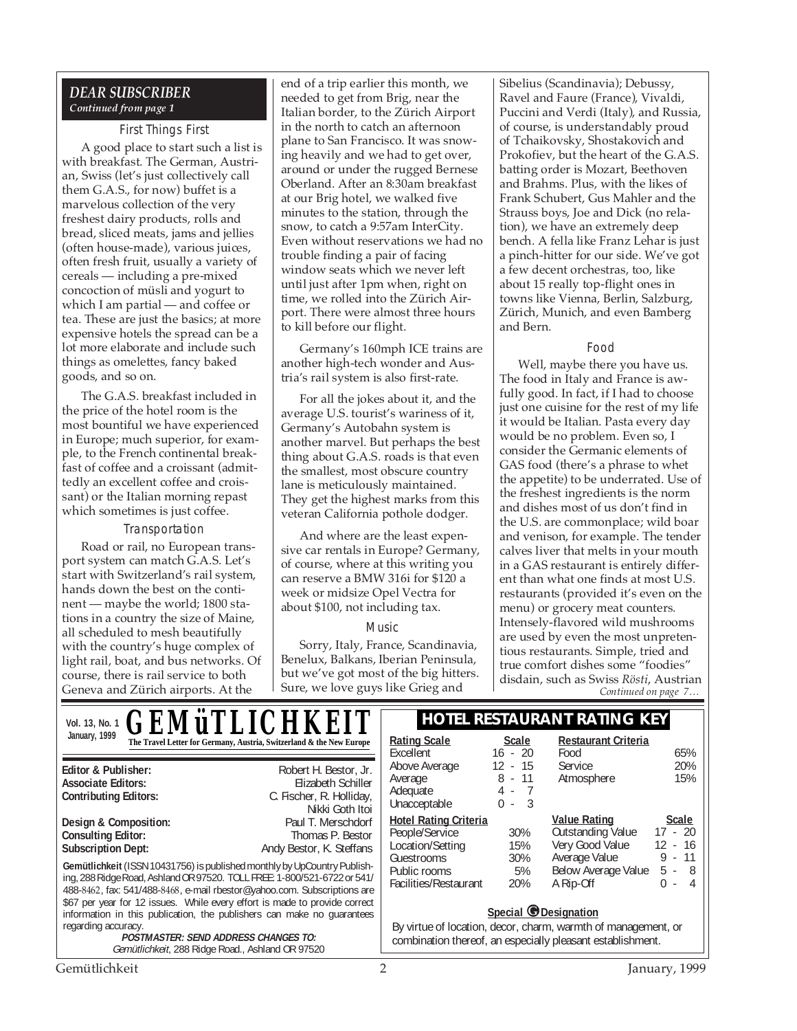#### *DEAR SUBSCRIBER Continued from page 1*

#### First Things First

A good place to start such a list is with breakfast. The German, Austrian, Swiss (let's just collectively call them G.A.S., for now) buffet is a marvelous collection of the very freshest dairy products, rolls and bread, sliced meats, jams and jellies (often house-made), various juices, often fresh fruit, usually a variety of cereals — including a pre-mixed concoction of müsli and yogurt to which I am partial — and coffee or tea. These are just the basics; at more expensive hotels the spread can be a lot more elaborate and include such things as omelettes, fancy baked goods, and so on.

The G.A.S. breakfast included in the price of the hotel room is the most bountiful we have experienced in Europe; much superior, for example, to the French continental breakfast of coffee and a croissant (admittedly an excellent coffee and croissant) or the Italian morning repast which sometimes is just coffee.

#### Transportation

Road or rail, no European transport system can match G.A.S. Let's start with Switzerland's rail system, hands down the best on the continent — maybe the world; 1800 stations in a country the size of Maine, all scheduled to mesh beautifully with the country's huge complex of light rail, boat, and bus networks. Of course, there is rail service to both Geneva and Zürich airports. At the

end of a trip earlier this month, we needed to get from Brig, near the Italian border, to the Zürich Airport in the north to catch an afternoon plane to San Francisco. It was snowing heavily and we had to get over, around or under the rugged Bernese Oberland. After an 8:30am breakfast at our Brig hotel, we walked five minutes to the station, through the snow, to catch a 9:57am InterCity. Even without reservations we had no trouble finding a pair of facing window seats which we never left until just after 1pm when, right on time, we rolled into the Zürich Airport. There were almost three hours to kill before our flight.

Germany's 160mph ICE trains are another high-tech wonder and Austria's rail system is also first-rate.

For all the jokes about it, and the average U.S. tourist's wariness of it, Germany's Autobahn system is another marvel. But perhaps the best thing about G.A.S. roads is that even the smallest, most obscure country lane is meticulously maintained. They get the highest marks from this veteran California pothole dodger.

And where are the least expensive car rentals in Europe? Germany, of course, where at this writing you can reserve a BMW 316i for \$120 a week or midsize Opel Vectra for about \$100, not including tax.

#### Music

Sorry, Italy, France, Scandinavia, Benelux, Balkans, Iberian Peninsula, but we've got most of the big hitters. Sure, we love guys like Grieg and

Sibelius (Scandinavia); Debussy, Ravel and Faure (France), Vivaldi, Puccini and Verdi (Italy), and Russia, of course, is understandably proud of Tchaikovsky, Shostakovich and Prokofiev, but the heart of the G.A.S. batting order is Mozart, Beethoven and Brahms. Plus, with the likes of Frank Schubert, Gus Mahler and the Strauss boys, Joe and Dick (no relation), we have an extremely deep bench. A fella like Franz Lehar is just a pinch-hitter for our side. We've got a few decent orchestras, too, like about 15 really top-flight ones in towns like Vienna, Berlin, Salzburg, Zürich, Munich, and even Bamberg and Bern.

#### Food

*Continued on page 7…* Well, maybe there you have us. The food in Italy and France is awfully good. In fact, if I had to choose just one cuisine for the rest of my life it would be Italian. Pasta every day would be no problem. Even so, I consider the Germanic elements of GAS food (there's a phrase to whet the appetite) to be underrated. Use of the freshest ingredients is the norm and dishes most of us don't find in the U.S. are commonplace; wild boar and venison, for example. The tender calves liver that melts in your mouth in a GAS restaurant is entirely different than what one finds at most U.S. restaurants (provided it's even on the menu) or grocery meat counters. Intensely-flavored wild mushrooms are used by even the most unpretentious restaurants. Simple, tried and true comfort dishes some "foodies" disdain, such as Swiss *Rösti*, Austrian

**Gemütlichkeit** (ISSN 10431756) is published monthly by UpCountry Publishing, 288 Ridge Road, Ashland OR 97520. TOLL FREE: 1-800/521-6722 or 541/ 488-8462, fax: 541/488-8468, e-mail rbestor@yahoo.com. Subscriptions are \$67 per year for 12 issues. While every effort is made to provide correct information in this publication, the publishers can make no guarantees regarding accuracy. **POSTMASTER: SEND ADDRESS CHANGES TO:** Gemütlichkeit, 288 Ridge Road., Ashland OR 97520 **Editor & Publisher:** Robert H. Bestor, Jr. **Associate Editors:** Elizabeth Schiller **C. Fischer, R. Holliday, C. Fischer, R. Holliday,** Nikki Goth Itoi<br>Paul T. Merschdorf **Design & Composition:** Paul T. Merschdorf **Consulting Editor:** Paul T. Merschdorf Consulting Editor: **Consulting Editor: Subscription Dept:** Andy Bestor, K. Steffans Vol. 13, No. 1 **C F M ii T I I C H K F I T HOTEL RESTAURANT RATING KEY** January, 1999<br> **The Travel Letter for Germany, Austria, Switzerland & the New Europe** | Rating Scale Scale Excellent 16 - 20<br>Above Average 12 - 15 Above Average Average 8 - 11 Adequate 4 - 7<br>
Unacceptable 0 - 3 Unacceptable **Hotel Rating Criteria** People/Service 30%<br>
Location/Setting 15% Location/Setting 15%<br>Guestrooms 30% **Guestrooms** Public rooms 5%<br>Facilities/Restaurant 20% Facilities/Restaurant **Restaurant Criteria** Food 65%<br>Service 20% Service 20%<br>Atmosphere 15% Atmosphere **<u>Value Rating</u>**<br> **Cutstanding Value** 17 - 20 Outstanding Value Very Good Value 12 - 16<br>Average Value 9 - 11 Average Value Below Average Value 5 - 8 A Rip-Off 0 - 4 *GEMüTLICHKEIT* **Special @Designation** By virtue of location, decor, charm, warmth of management, or combination thereof, an especially pleasant establishment.

#### Gemütlichkeit 1999 and 1999 and 1999 and 1999 and 1999 and 1999 and 1999 and 1999 and 1999 and 1999 and 1999 and 1999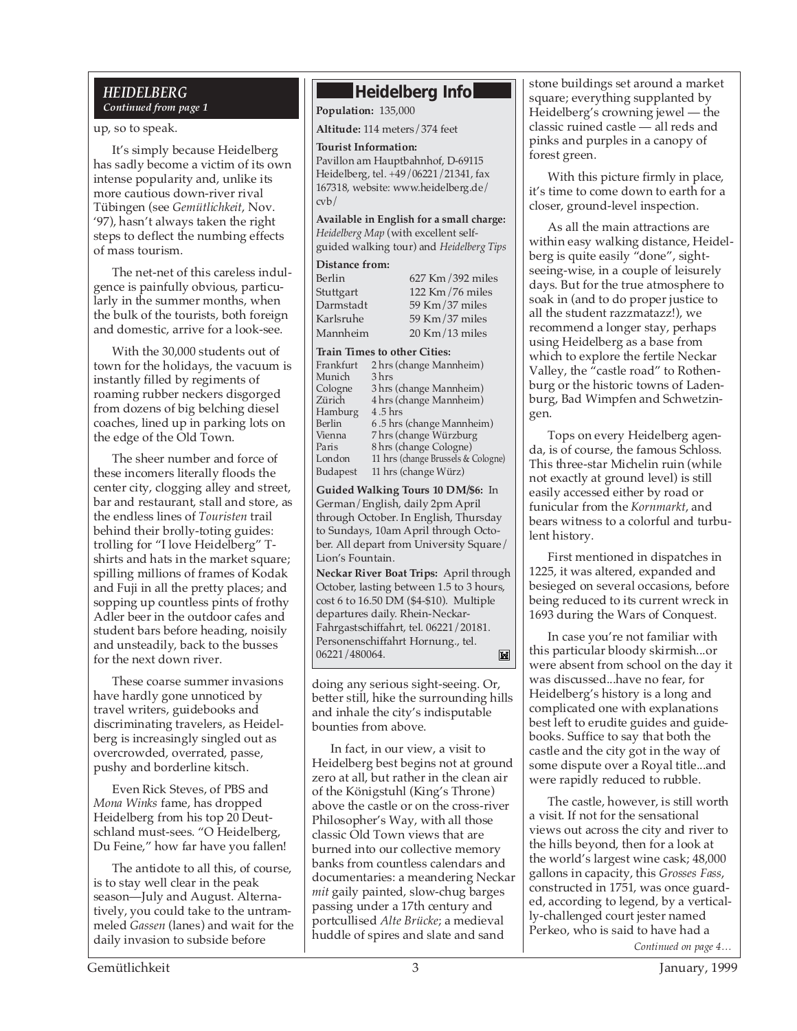#### *HEIDELBERG Continued from page 1*

up, so to speak.

It's simply because Heidelberg has sadly become a victim of its own intense popularity and, unlike its more cautious down-river rival Tübingen (see *Gemütlichkeit*, Nov. '97), hasn't always taken the right steps to deflect the numbing effects of mass tourism.

The net-net of this careless indulgence is painfully obvious, particularly in the summer months, when the bulk of the tourists, both foreign and domestic, arrive for a look-see.

With the 30,000 students out of town for the holidays, the vacuum is instantly filled by regiments of roaming rubber neckers disgorged from dozens of big belching diesel coaches, lined up in parking lots on the edge of the Old Town.

The sheer number and force of these incomers literally floods the center city, clogging alley and street, bar and restaurant, stall and store, as the endless lines of *Touristen* trail behind their brolly-toting guides: trolling for "I love Heidelberg" Tshirts and hats in the market square; spilling millions of frames of Kodak and Fuji in all the pretty places; and sopping up countless pints of frothy Adler beer in the outdoor cafes and student bars before heading, noisily and unsteadily, back to the busses for the next down river.

These coarse summer invasions have hardly gone unnoticed by travel writers, guidebooks and discriminating travelers, as Heidelberg is increasingly singled out as overcrowded, overrated, passe, pushy and borderline kitsch.

Even Rick Steves, of PBS and *Mona Winks* fame, has dropped Heidelberg from his top 20 Deutschland must-sees. "O Heidelberg, Du Feine," how far have you fallen!

The antidote to all this, of course, is to stay well clear in the peak season—July and August. Alternatively, you could take to the untrammeled *Gassen* (lanes) and wait for the daily invasion to subside before

#### **Heidelberg Info**

**Population:** 135,000

**Altitude:** 114 meters/374 feet

#### **Tourist Information:**

Pavillon am Hauptbahnhof, D-69115 Heidelberg, tel. +49/06221/21341, fax 167318, website: www.heidelberg.de/ cvb/

**Available in English for a small charge:** *Heidelberg Map* (with excellent selfguided walking tour) and *Heidelberg Tips*

#### **Distance from:**

| Berlin    | 627 Km/392 miles    |
|-----------|---------------------|
| Stuttgart | 122 Km/76 miles     |
| Darmstadt | 59 Km/37 miles      |
| Karlsruhe | 59 Km/37 miles      |
| Mannheim  | $20$ Km $/13$ miles |

#### **Train Times to other Cities:**

| Frankfurt       | 2 hrs (change Mannheim)            |
|-----------------|------------------------------------|
| Munich          | 3 hrs                              |
| Cologne         | 3 hrs (change Mannheim)            |
| Zürich          | 4 hrs (change Mannheim)            |
| Hamburg         | 4.5 hrs                            |
| Berlin          | 6.5 hrs (change Mannheim)          |
| Vienna          | 7 hrs (change Würzburg             |
| Paris           | 8 hrs (change Cologne)             |
| London          | 11 hrs (change Brussels & Cologne) |
| <b>Budapest</b> | 11 hrs (change Würz)               |
|                 |                                    |

**Guided Walking Tours 10 DM/\$6:** In German/English, daily 2pm April through October. In English, Thursday to Sundays, 10am April through October. All depart from University Square/ Lion's Fountain.

**Neckar River Boat Trips:** April through October, lasting between 1.5 to 3 hours, cost 6 to 16.50 DM (\$4-\$10). Multiple departures daily. Rhein-Neckar-Fahrgastschiffahrt, tel. 06221/20181. Personenschiffahrt Hornung., tel. 06221/480064. ×

doing any serious sight-seeing. Or, better still, hike the surrounding hills and inhale the city's indisputable bounties from above.

In fact, in our view, a visit to Heidelberg best begins not at ground zero at all, but rather in the clean air of the Königstuhl (King's Throne) above the castle or on the cross-river Philosopher's Way, with all those classic Old Town views that are burned into our collective memory banks from countless calendars and documentaries: a meandering Neckar *mit* gaily painted, slow-chug barges passing under a 17th century and portcullised *Alte Brücke*; a medieval huddle of spires and slate and sand

stone buildings set around a market square; everything supplanted by Heidelberg's crowning jewel — the classic ruined castle — all reds and pinks and purples in a canopy of forest green.

With this picture firmly in place, it's time to come down to earth for a closer, ground-level inspection.

As all the main attractions are within easy walking distance, Heidelberg is quite easily "done", sightseeing-wise, in a couple of leisurely days. But for the true atmosphere to soak in (and to do proper justice to all the student razzmatazz!), we recommend a longer stay, perhaps using Heidelberg as a base from which to explore the fertile Neckar Valley, the "castle road" to Rothenburg or the historic towns of Ladenburg, Bad Wimpfen and Schwetzingen.

Tops on every Heidelberg agenda, is of course, the famous Schloss. This three-star Michelin ruin (while not exactly at ground level) is still easily accessed either by road or funicular from the *Kornmarkt*, and bears witness to a colorful and turbulent history.

First mentioned in dispatches in 1225, it was altered, expanded and besieged on several occasions, before being reduced to its current wreck in 1693 during the Wars of Conquest.

In case you're not familiar with this particular bloody skirmish...or were absent from school on the day it was discussed...have no fear, for Heidelberg's history is a long and complicated one with explanations best left to erudite guides and guidebooks. Suffice to say that both the castle and the city got in the way of some dispute over a Royal title...and were rapidly reduced to rubble.

*Continued on page 4…* The castle, however, is still worth a visit. If not for the sensational views out across the city and river to the hills beyond, then for a look at the world's largest wine cask; 48,000 gallons in capacity, this *Grosses Fass*, constructed in 1751, was once guarded, according to legend, by a vertically-challenged court jester named Perkeo, who is said to have had a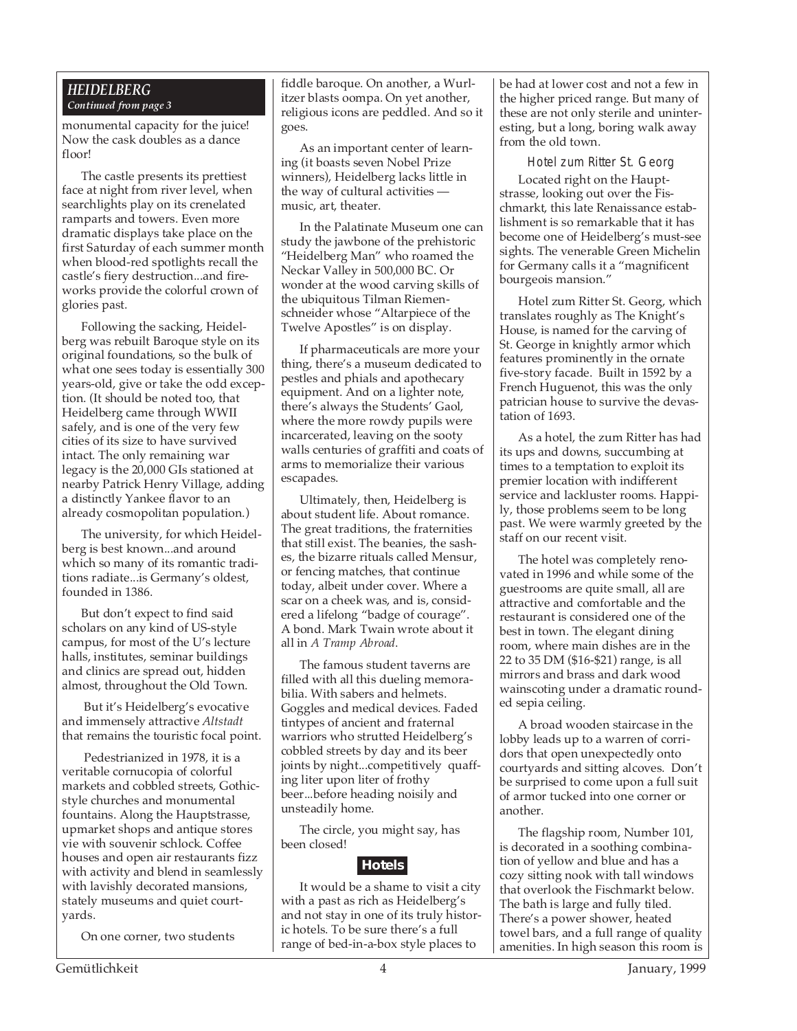#### *HEIDELBERG Continued from page 3*

monumental capacity for the juice! Now the cask doubles as a dance floor!

The castle presents its prettiest face at night from river level, when searchlights play on its crenelated ramparts and towers. Even more dramatic displays take place on the first Saturday of each summer month when blood-red spotlights recall the castle's fiery destruction...and fireworks provide the colorful crown of glories past.

Following the sacking, Heidelberg was rebuilt Baroque style on its original foundations, so the bulk of what one sees today is essentially 300 years-old, give or take the odd exception. (It should be noted too, that Heidelberg came through WWII safely, and is one of the very few cities of its size to have survived intact. The only remaining war legacy is the 20,000 GIs stationed at nearby Patrick Henry Village, adding a distinctly Yankee flavor to an already cosmopolitan population.)

The university, for which Heidelberg is best known...and around which so many of its romantic traditions radiate...is Germany's oldest, founded in 1386.

But don't expect to find said scholars on any kind of US-style campus, for most of the U's lecture halls, institutes, seminar buildings and clinics are spread out, hidden almost, throughout the Old Town.

 But it's Heidelberg's evocative and immensely attractive *Altstadt* that remains the touristic focal point.

 Pedestrianized in 1978, it is a veritable cornucopia of colorful markets and cobbled streets, Gothicstyle churches and monumental fountains. Along the Hauptstrasse, upmarket shops and antique stores vie with souvenir schlock. Coffee houses and open air restaurants fizz with activity and blend in seamlessly with lavishly decorated mansions, stately museums and quiet courtyards.

On one corner, two students

fiddle baroque. On another, a Wurlitzer blasts oompa. On yet another, religious icons are peddled. And so it goes.

As an important center of learning (it boasts seven Nobel Prize winners), Heidelberg lacks little in the way of cultural activities music, art, theater.

In the Palatinate Museum one can study the jawbone of the prehistoric "Heidelberg Man" who roamed the Neckar Valley in 500,000 BC. Or wonder at the wood carving skills of the ubiquitous Tilman Riemenschneider whose "Altarpiece of the Twelve Apostles" is on display.

If pharmaceuticals are more your thing, there's a museum dedicated to pestles and phials and apothecary equipment. And on a lighter note, there's always the Students' Gaol, where the more rowdy pupils were incarcerated, leaving on the sooty walls centuries of graffiti and coats of arms to memorialize their various escapades.

Ultimately, then, Heidelberg is about student life. About romance. The great traditions, the fraternities that still exist. The beanies, the sashes, the bizarre rituals called Mensur, or fencing matches, that continue today, albeit under cover. Where a scar on a cheek was, and is, considered a lifelong "badge of courage". A bond. Mark Twain wrote about it all in *A Tramp Abroad*.

The famous student taverns are filled with all this dueling memorabilia. With sabers and helmets. Goggles and medical devices. Faded tintypes of ancient and fraternal warriors who strutted Heidelberg's cobbled streets by day and its beer joints by night...competitively quaffing liter upon liter of frothy beer...before heading noisily and unsteadily home.

The circle, you might say, has been closed!

#### **Hotels**

It would be a shame to visit a city with a past as rich as Heidelberg's and not stay in one of its truly historic hotels. To be sure there's a full range of bed-in-a-box style places to

be had at lower cost and not a few in the higher priced range. But many of these are not only sterile and uninteresting, but a long, boring walk away from the old town.

Hotel zum Ritter St. Georg Located right on the Hauptstrasse, looking out over the Fischmarkt, this late Renaissance establishment is so remarkable that it has become one of Heidelberg's must-see sights. The venerable Green Michelin for Germany calls it a "magnificent bourgeois mansion."

Hotel zum Ritter St. Georg, which translates roughly as The Knight's House, is named for the carving of St. George in knightly armor which features prominently in the ornate five-story facade. Built in 1592 by a French Huguenot, this was the only patrician house to survive the devastation of 1693.

As a hotel, the zum Ritter has had its ups and downs, succumbing at times to a temptation to exploit its premier location with indifferent service and lackluster rooms. Happily, those problems seem to be long past. We were warmly greeted by the staff on our recent visit.

The hotel was completely renovated in 1996 and while some of the guestrooms are quite small, all are attractive and comfortable and the restaurant is considered one of the best in town. The elegant dining room, where main dishes are in the 22 to 35 DM (\$16-\$21) range, is all mirrors and brass and dark wood wainscoting under a dramatic rounded sepia ceiling.

A broad wooden staircase in the lobby leads up to a warren of corridors that open unexpectedly onto courtyards and sitting alcoves. Don't be surprised to come upon a full suit of armor tucked into one corner or another.

The flagship room, Number 101, is decorated in a soothing combination of yellow and blue and has a cozy sitting nook with tall windows that overlook the Fischmarkt below. The bath is large and fully tiled. There's a power shower, heated towel bars, and a full range of quality amenities. In high season this room is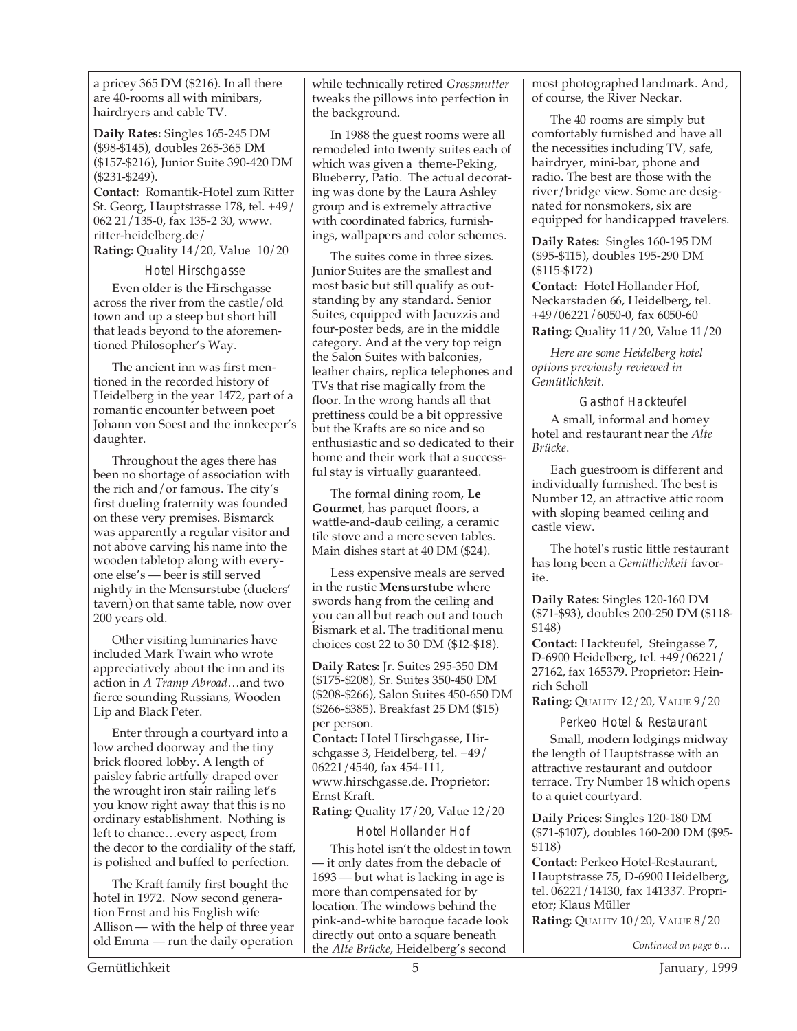a pricey 365 DM (\$216). In all there are 40-rooms all with minibars, hairdryers and cable TV.

**Daily Rates:** Singles 165-245 DM (\$98-\$145), doubles 265-365 DM (\$157-\$216), Junior Suite 390-420 DM (\$231-\$249).

**Contact:** Romantik-Hotel zum Ritter St. Georg, Hauptstrasse 178, tel. +49/ 062 21/135-0, fax 135-2 30, www. ritter-heidelberg.de/ **Rating:** Quality 14/20, Value 10/20

Hotel Hirschgasse

Even older is the Hirschgasse across the river from the castle/old town and up a steep but short hill that leads beyond to the aforementioned Philosopher's Way.

The ancient inn was first mentioned in the recorded history of Heidelberg in the year 1472, part of a romantic encounter between poet Johann von Soest and the innkeeper's daughter.

Throughout the ages there has been no shortage of association with the rich and/or famous. The city's first dueling fraternity was founded on these very premises. Bismarck was apparently a regular visitor and not above carving his name into the wooden tabletop along with everyone else's — beer is still served nightly in the Mensurstube (duelers' tavern) on that same table, now over 200 years old.

Other visiting luminaries have included Mark Twain who wrote appreciatively about the inn and its action in *A Tramp Abroad*…and two fierce sounding Russians, Wooden Lip and Black Peter.

Enter through a courtyard into a low arched doorway and the tiny brick floored lobby. A length of paisley fabric artfully draped over the wrought iron stair railing let's you know right away that this is no ordinary establishment. Nothing is left to chance…every aspect, from the decor to the cordiality of the staff, is polished and buffed to perfection.

The Kraft family first bought the hotel in 1972. Now second generation Ernst and his English wife Allison — with the help of three year old Emma — run the daily operation

while technically retired *Grossmutter* tweaks the pillows into perfection in the background.

In 1988 the guest rooms were all remodeled into twenty suites each of which was given a theme-Peking, Blueberry, Patio. The actual decorating was done by the Laura Ashley group and is extremely attractive with coordinated fabrics, furnishings, wallpapers and color schemes.

The suites come in three sizes. Junior Suites are the smallest and most basic but still qualify as outstanding by any standard. Senior Suites, equipped with Jacuzzis and four-poster beds, are in the middle category. And at the very top reign the Salon Suites with balconies, leather chairs, replica telephones and TVs that rise magically from the floor. In the wrong hands all that prettiness could be a bit oppressive but the Krafts are so nice and so enthusiastic and so dedicated to their home and their work that a successful stay is virtually guaranteed.

The formal dining room, **Le Gourmet**, has parquet floors, a wattle-and-daub ceiling, a ceramic tile stove and a mere seven tables. Main dishes start at 40 DM (\$24).

Less expensive meals are served in the rustic **Mensurstube** where swords hang from the ceiling and you can all but reach out and touch Bismark et al. The traditional menu choices cost 22 to 30 DM (\$12-\$18).

**Daily Rates:** Jr. Suites 295-350 DM (\$175-\$208), Sr. Suites 350-450 DM (\$208-\$266), Salon Suites 450-650 DM (\$266-\$385). Breakfast 25 DM (\$15) per person.

**Contact:** Hotel Hirschgasse, Hirschgasse 3, Heidelberg, tel. +49/ 06221/4540, fax 454-111, www.hirschgasse.de. Proprietor: Ernst Kraft.

**Rating:** Quality 17/20, Value 12/20

Hotel Hollander Hof

This hotel isn't the oldest in town it only dates from the debacle of 1693 — but what is lacking in age is more than compensated for by location. The windows behind the pink-and-white baroque facade look directly out onto a square beneath the *Alte Brücke*, Heidelberg's second

most photographed landmark. And, of course, the River Neckar.

The 40 rooms are simply but comfortably furnished and have all the necessities including TV, safe, hairdryer, mini-bar, phone and radio. The best are those with the river/bridge view. Some are designated for nonsmokers, six are equipped for handicapped travelers.

**Daily Rates:** Singles 160-195 DM (\$95-\$115), doubles 195-290 DM (\$115-\$172)

**Contact:** Hotel Hollander Hof, Neckarstaden 66, Heidelberg, tel. +49/06221/6050-0, fax 6050-60

**Rating:** Quality 11/20, Value 11/20

*Here are some Heidelberg hotel options previously reviewed in Gemütlichkeit.*

Gasthof Hackteufel A small, informal and homey hotel and restaurant near the *Alte Brücke*.

Each guestroom is different and individually furnished. The best is Number 12, an attractive attic room with sloping beamed ceiling and castle view.

The hotel's rustic little restaurant has long been a *Gemütlichkeit* favorite.

**Daily Rates:** Singles 120-160 DM (\$71-\$93), doubles 200-250 DM (\$118- \$148)

**Contact:** Hackteufel, Steingasse 7, D-6900 Heidelberg, tel. +49/06221/ 27162, fax 165379. Proprietor**:** Heinrich Scholl

**Rating:** QUALITY 12/20, VALUE 9/20

Perkeo Hotel & Restaurant Small, modern lodgings midway the length of Hauptstrasse with an attractive restaurant and outdoor terrace. Try Number 18 which opens to a quiet courtyard.

**Daily Prices:** Singles 120-180 DM (\$71-\$107), doubles 160-200 DM (\$95- \$118)

**Contact:** Perkeo Hotel-Restaurant, Hauptstrasse 75, D-6900 Heidelberg, tel. 06221/14130, fax 141337. Proprietor; Klaus Müller

**Rating:** QUALITY 10/20, VALUE 8/20

*Continued on page 6…*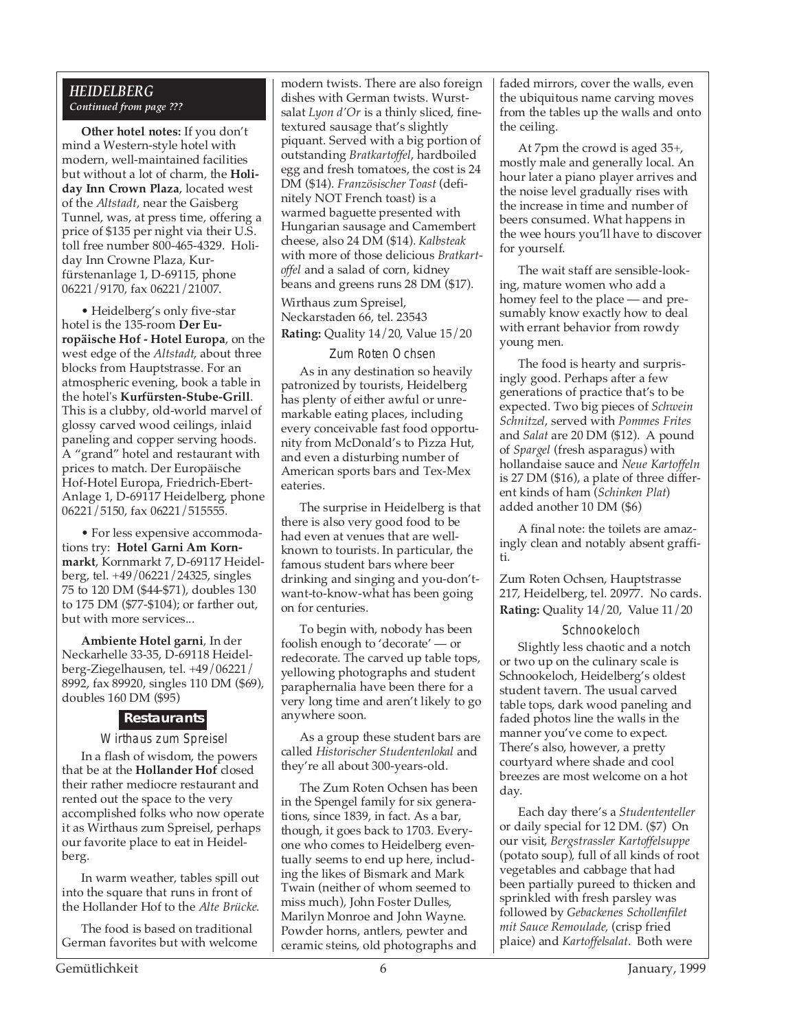#### *HEIDELBERG Continued from page ???*

**Other hotel notes:** If you don't mind a Western-style hotel with modern, well-maintained facilities but without a lot of charm, the **Holiday Inn Crown Plaza**, located west of the *Altstadt,* near the Gaisberg Tunnel, was, at press time, offering a price of \$135 per night via their U.S. toll free number 800-465-4329. Holiday Inn Crowne Plaza, Kurfürstenanlage 1, D-69115, phone 06221/9170, fax 06221/21007.

• Heidelberg's only five-star hotel is the 135-room **Der Europäische Hof - Hotel Europa**, on the west edge of the *Altstadt*, about three blocks from Hauptstrasse. For an atmospheric evening, book a table in the hotel's **Kurfürsten-Stube-Grill**. This is a clubby, old-world marvel of glossy carved wood ceilings, inlaid paneling and copper serving hoods. A "grand" hotel and restaurant with prices to match. Der Europäische Hof-Hotel Europa, Friedrich-Ebert-Anlage 1, D-69117 Heidelberg, phone 06221/5150, fax 06221/515555.

• For less expensive accommodations try: **Hotel Garni Am Kornmarkt**, Kornmarkt 7, D-69117 Heidelberg, tel. +49/06221/24325, singles 75 to 120 DM (\$44-\$71), doubles 130 to 175 DM (\$77-\$104); or farther out, but with more services...

**Ambiente Hotel garni**, In der Neckarhelle 33-35, D-69118 Heidelberg-Ziegelhausen, tel. +49/06221/ 8992, fax 89920, singles 110 DM (\$69), doubles 160 DM (\$95)

#### **Restaurants**

Wirthaus zum Spreisel

In a flash of wisdom, the powers that be at the **Hollander Hof** closed their rather mediocre restaurant and rented out the space to the very accomplished folks who now operate it as Wirthaus zum Spreisel, perhaps our favorite place to eat in Heidelberg.

In warm weather, tables spill out into the square that runs in front of the Hollander Hof to the *Alte Brücke*.

The food is based on traditional German favorites but with welcome modern twists. There are also foreign dishes with German twists. Wurstsalat *Lyon d'Or* is a thinly sliced, finetextured sausage that's slightly piquant. Served with a big portion of outstanding *Bratkartoffel*, hardboiled egg and fresh tomatoes, the cost is 24 DM (\$14). *Französischer Toast* (definitely NOT French toast) is a warmed baguette presented with Hungarian sausage and Camembert cheese, also 24 DM (\$14). *Kalbsteak* with more of those delicious *Bratkartoffel* and a salad of corn, kidney beans and greens runs 28 DM (\$17).

Wirthaus zum Spreisel, Neckarstaden 66, tel. 23543 **Rating:** Quality 14/20, Value 15/20

#### Zum Roten Ochsen

As in any destination so heavily patronized by tourists, Heidelberg has plenty of either awful or unremarkable eating places, including every conceivable fast food opportunity from McDonald's to Pizza Hut, and even a disturbing number of American sports bars and Tex-Mex eateries.

The surprise in Heidelberg is that there is also very good food to be had even at venues that are wellknown to tourists. In particular, the famous student bars where beer drinking and singing and you-don'twant-to-know-what has been going on for centuries.

To begin with, nobody has been foolish enough to 'decorate' — or redecorate. The carved up table tops, yellowing photographs and student paraphernalia have been there for a very long time and aren't likely to go anywhere soon.

As a group these student bars are called *Historischer Studentenlokal* and they're all about 300-years-old.

The Zum Roten Ochsen has been in the Spengel family for six generations, since 1839, in fact. As a bar, though, it goes back to 1703. Everyone who comes to Heidelberg eventually seems to end up here, including the likes of Bismark and Mark Twain (neither of whom seemed to miss much), John Foster Dulles, Marilyn Monroe and John Wayne. Powder horns, antlers, pewter and ceramic steins, old photographs and

faded mirrors, cover the walls, even the ubiquitous name carving moves from the tables up the walls and onto the ceiling.

At 7pm the crowd is aged 35+, mostly male and generally local. An hour later a piano player arrives and the noise level gradually rises with the increase in time and number of beers consumed. What happens in the wee hours you'll have to discover for yourself.

The wait staff are sensible-looking, mature women who add a homey feel to the place — and presumably know exactly how to deal with errant behavior from rowdy young men.

The food is hearty and surprisingly good. Perhaps after a few generations of practice that's to be expected. Two big pieces of *Schwein Schnitzel*, served with *Pommes Frites* and *Salat* are 20 DM (\$12). A pound of *Spargel* (fresh asparagus) with hollandaise sauce and *Neue Kartoffeln* is 27 DM (\$16), a plate of three different kinds of ham (*Schinken Plat*) added another 10 DM (\$6)

A final note: the toilets are amazingly clean and notably absent graffiti.

Zum Roten Ochsen, Hauptstrasse 217, Heidelberg, tel. 20977. No cards. **Rating:** Quality 14/20, Value 11/20

#### Schnookeloch

Slightly less chaotic and a notch or two up on the culinary scale is Schnookeloch, Heidelberg's oldest student tavern. The usual carved table tops, dark wood paneling and faded photos line the walls in the manner you've come to expect. There's also, however, a pretty courtyard where shade and cool breezes are most welcome on a hot day.

Each day there's a *Studententeller* or daily special for 12 DM. (\$7) On our visit, *Bergstrassler Kartoffelsuppe* (potato soup), full of all kinds of root vegetables and cabbage that had been partially pureed to thicken and sprinkled with fresh parsley was followed by *Gebackenes Schollenfilet mit Sauce Remoulade,* (crisp fried plaice) and *Kartoffelsalat*. Both were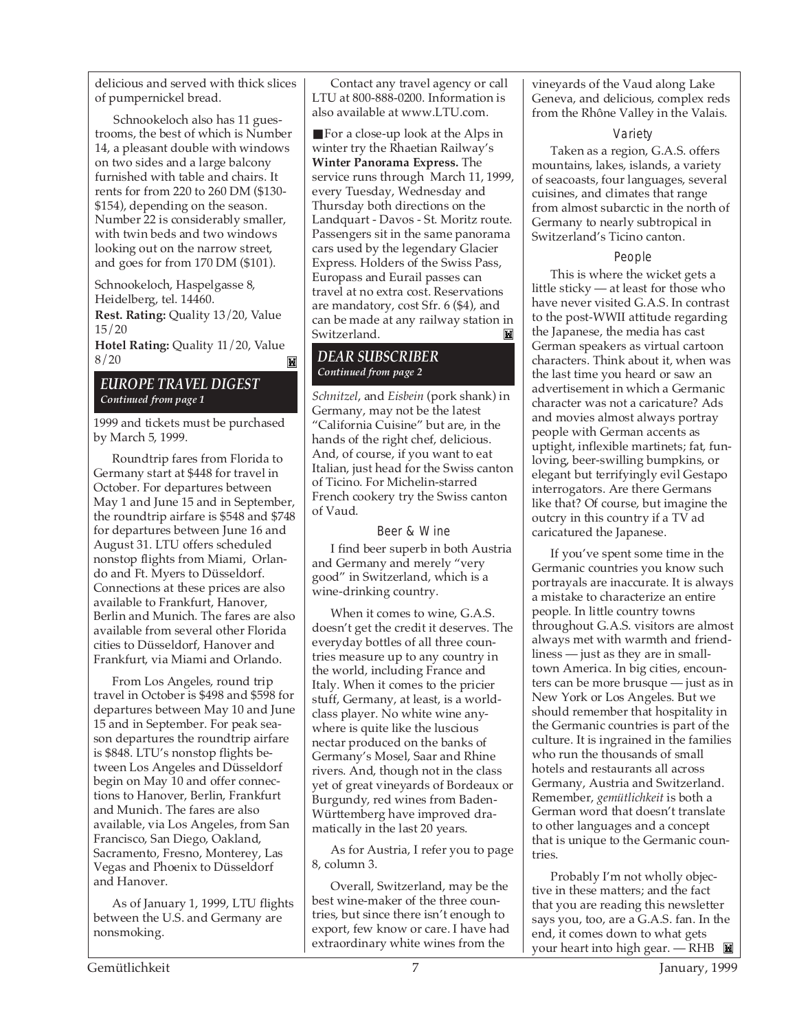delicious and served with thick slices of pumpernickel bread.

Schnookeloch also has 11 guestrooms, the best of which is Number 14, a pleasant double with windows on two sides and a large balcony furnished with table and chairs. It rents for from 220 to 260 DM (\$130- \$154), depending on the season. Number 22 is considerably smaller, with twin beds and two windows looking out on the narrow street, and goes for from 170 DM (\$101).

Schnookeloch, Haspelgasse 8, Heidelberg, tel. 14460.

**Rest. Rating:** Quality 13/20, Value 15/20

**Hotel Rating:** Quality 11/20, Value 8/20  $\blacksquare$ 

#### *EUROPE TRAVEL DIGEST Continued from page 1*

1999 and tickets must be purchased by March 5, 1999.

Roundtrip fares from Florida to Germany start at \$448 for travel in October. For departures between May 1 and June 15 and in September, the roundtrip airfare is \$548 and \$748 for departures between June 16 and August 31. LTU offers scheduled nonstop flights from Miami, Orlando and Ft. Myers to Düsseldorf. Connections at these prices are also available to Frankfurt, Hanover, Berlin and Munich. The fares are also available from several other Florida cities to Düsseldorf, Hanover and Frankfurt, via Miami and Orlando.

From Los Angeles, round trip travel in October is \$498 and \$598 for departures between May 10 and June 15 and in September. For peak season departures the roundtrip airfare is \$848. LTU's nonstop flights between Los Angeles and Düsseldorf begin on May 10 and offer connections to Hanover, Berlin, Frankfurt and Munich. The fares are also available, via Los Angeles, from San Francisco, San Diego, Oakland, Sacramento, Fresno, Monterey, Las Vegas and Phoenix to Düsseldorf and Hanover.

As of January 1, 1999, LTU flights between the U.S. and Germany are nonsmoking.

Contact any travel agency or call LTU at 800-888-0200. Information is also available at www.LTU.com.

■ For a close-up look at the Alps in winter try the Rhaetian Railway's **Winter Panorama Express.** The service runs through March 11, 1999, every Tuesday, Wednesday and Thursday both directions on the Landquart - Davos - St. Moritz route. Passengers sit in the same panorama cars used by the legendary Glacier Express. Holders of the Swiss Pass, Europass and Eurail passes can travel at no extra cost. Reservations are mandatory, cost Sfr. 6 (\$4), and can be made at any railway station in Switzerland.

#### *DEAR SUBSCRIBER Continued from page 2*

*Schnitzel*, and *Eisbein* (pork shank) in Germany, may not be the latest "California Cuisine" but are, in the hands of the right chef, delicious. And, of course, if you want to eat Italian, just head for the Swiss canton of Ticino. For Michelin-starred French cookery try the Swiss canton of Vaud.

#### Beer & Wine

I find beer superb in both Austria and Germany and merely "very good" in Switzerland, which is a wine-drinking country.

When it comes to wine, G.A.S. doesn't get the credit it deserves. The everyday bottles of all three countries measure up to any country in the world, including France and Italy. When it comes to the pricier stuff, Germany, at least, is a worldclass player. No white wine anywhere is quite like the luscious nectar produced on the banks of Germany's Mosel, Saar and Rhine rivers. And, though not in the class yet of great vineyards of Bordeaux or Burgundy, red wines from Baden-Württemberg have improved dramatically in the last 20 years.

As for Austria, I refer you to page 8, column 3.

Overall, Switzerland, may be the best wine-maker of the three countries, but since there isn't enough to export, few know or care. I have had extraordinary white wines from the

vineyards of the Vaud along Lake Geneva, and delicious, complex reds from the Rhône Valley in the Valais.

#### Variety

Taken as a region, G.A.S. offers mountains, lakes, islands, a variety of seacoasts, four languages, several cuisines, and climates that range from almost subarctic in the north of Germany to nearly subtropical in Switzerland's Ticino canton.

#### People

This is where the wicket gets a little sticky — at least for those who have never visited G.A.S. In contrast to the post-WWII attitude regarding the Japanese, the media has cast German speakers as virtual cartoon characters. Think about it, when was the last time you heard or saw an advertisement in which a Germanic character was not a caricature? Ads and movies almost always portray people with German accents as uptight, inflexible martinets; fat, funloving, beer-swilling bumpkins, or elegant but terrifyingly evil Gestapo interrogators. Are there Germans like that? Of course, but imagine the outcry in this country if a TV ad caricatured the Japanese.

If you've spent some time in the Germanic countries you know such portrayals are inaccurate. It is always a mistake to characterize an entire people. In little country towns throughout G.A.S. visitors are almost always met with warmth and friendliness — just as they are in smalltown America. In big cities, encounters can be more brusque — just as in New York or Los Angeles. But we should remember that hospitality in the Germanic countries is part of the culture. It is ingrained in the families who run the thousands of small hotels and restaurants all across Germany, Austria and Switzerland. Remember, *gemütlichkeit* is both a German word that doesn't translate to other languages and a concept that is unique to the Germanic countries.

Probably I'm not wholly objective in these matters; and the fact that you are reading this newsletter says you, too, are a G.A.S. fan. In the end, it comes down to what gets your heart into high gear. — RHB